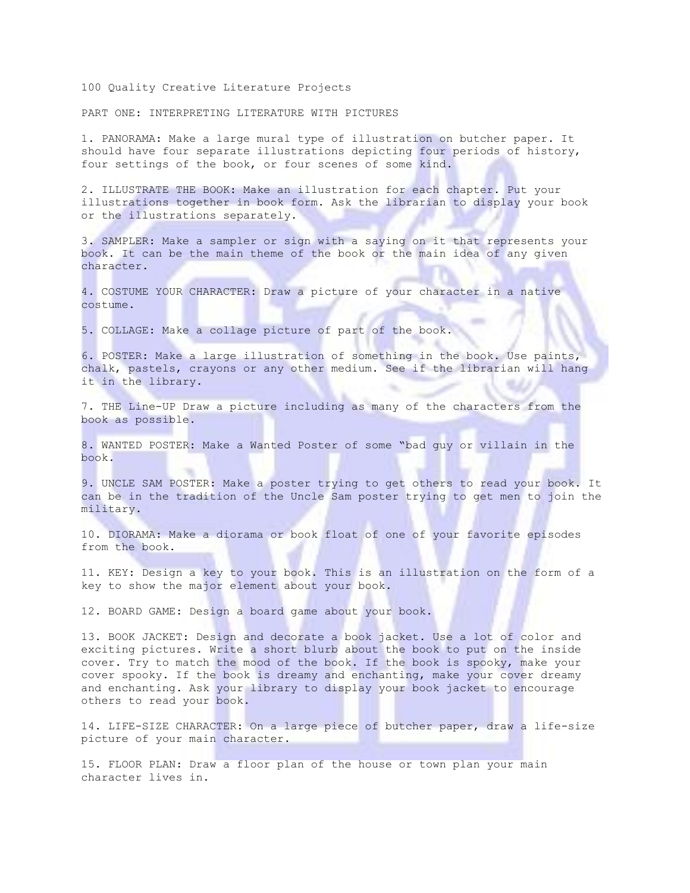100 Quality Creative Literature Projects

PART ONE: INTERPRETING LITERATURE WITH PICTURES

1. PANORAMA: Make a large mural type of illustration on butcher paper. It should have four separate illustrations depicting four periods of history, four settings of the book, or four scenes of some kind.

2. ILLUSTRATE THE BOOK: Make an illustration for each chapter. Put your illustrations together in book form. Ask the librarian to display your book or the illustrations separately.

3. SAMPLER: Make a sampler or sign with a saying on it that represents your book. It can be the main theme of the book or the main idea of any given character.

4. COSTUME YOUR CHARACTER: Draw a picture of your character in a native costume.

5. COLLAGE: Make a collage picture of part of the book.

6. POSTER: Make a large illustration of something in the book. Use paints, chalk, pastels, crayons or any other medium. See if the librarian will hang it in the library.

7. THE Line-UP Draw a picture including as many of the characters from the book as possible.

8. WANTED POSTER: Make a Wanted Poster of some "bad guy or villain in the book.

9. UNCLE SAM POSTER: Make a poster trying to get others to read your book. It can be in the tradition of the Uncle Sam poster trying to get men to join the military.

10. DIORAMA: Make a diorama or book float of one of your favorite episodes from the book.

11. KEY: Design a key to your book. This is an illustration on the form of a key to show the major element about your book.

12. BOARD GAME: Design a board game about your book.

13. BOOK JACKET: Design and decorate a book jacket. Use a lot of color and exciting pictures. Write a short blurb about the book to put on the inside cover. Try to match the mood of the book. If the book is spooky, make your cover spooky. If the book is dreamy and enchanting, make your cover dreamy and enchanting. Ask your library to display your book jacket to encourage others to read your book.

14. LIFE-SIZE CHARACTER: On a large piece of butcher paper, draw a life-size picture of your main character.

15. FLOOR PLAN: Draw a floor plan of the house or town plan your main character lives in.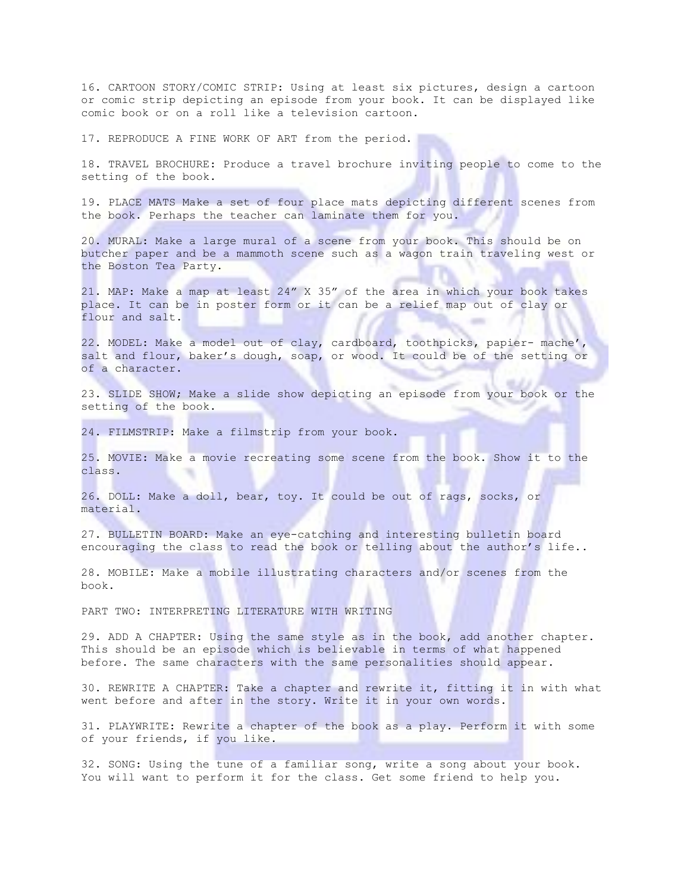16. CARTOON STORY/COMIC STRIP: Using at least six pictures, design a cartoon or comic strip depicting an episode from your book. It can be displayed like comic book or on a roll like a television cartoon.

17. REPRODUCE A FINE WORK OF ART from the period.

18. TRAVEL BROCHURE: Produce a travel brochure inviting people to come to the setting of the book.

19. PLACE MATS Make a set of four place mats depicting different scenes from the book. Perhaps the teacher can laminate them for you.

20. MURAL: Make a large mural of a scene from your book. This should be on butcher paper and be a mammoth scene such as a wagon train traveling west or the Boston Tea Party.

21. MAP: Make a map at least 24" X 35" of the area in which your book takes place. It can be in poster form or it can be a relief map out of clay or flour and salt.

22. MODEL: Make a model out of clay, cardboard, toothpicks, papier- mache', salt and flour, baker's dough, soap, or wood. It could be of the setting or of a character.

23. SLIDE SHOW; Make a slide show depicting an episode from your book or the setting of the book.

24. FILMSTRIP: Make a filmstrip from your book.

25. MOVIE: Make a movie recreating some scene from the book. Show it to the class.

26. DOLL: Make a doll, bear, toy. It could be out of rags, socks, or material.

27. BULLETIN BOARD: Make an eye-catching and interesting bulletin board encouraging the class to read the book or telling about the author's life..

28. MOBILE: Make a mobile illustrating characters and/or scenes from the book.

PART TWO: INTERPRETING LITERATURE WITH WRITING

29. ADD A CHAPTER: Using the same style as in the book, add another chapter. This should be an episode which is believable in terms of what happened before. The same characters with the same personalities should appear.

30. REWRITE A CHAPTER: Take a chapter and rewrite it, fitting it in with what went before and after in the story. Write it in your own words.

31. PLAYWRITE: Rewrite a chapter of the book as a play. Perform it with some of your friends, if you like.

32. SONG: Using the tune of a familiar song, write a song about your book. You will want to perform it for the class. Get some friend to help you.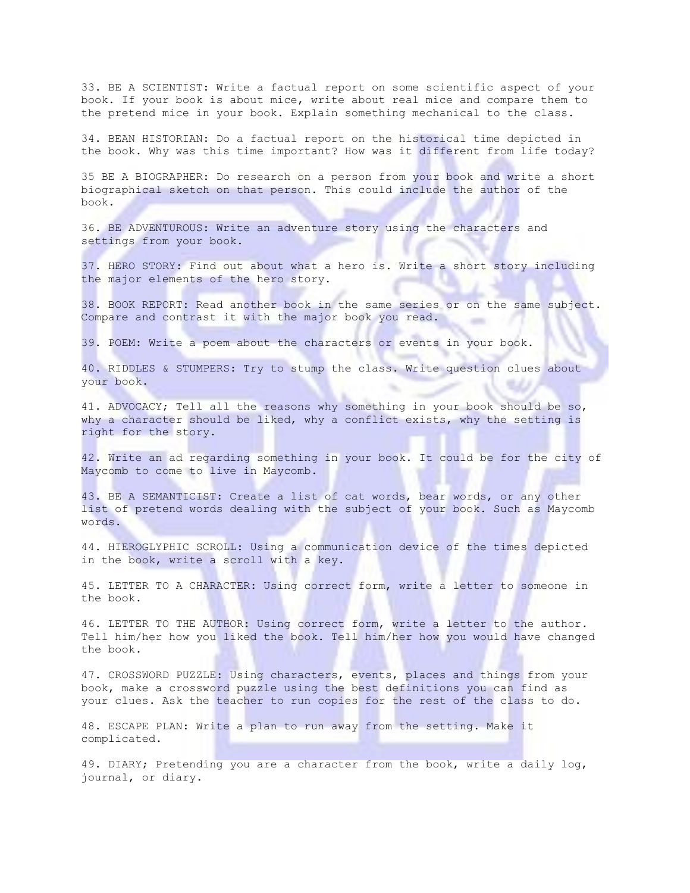33. BE A SCIENTIST: Write a factual report on some scientific aspect of your book. If your book is about mice, write about real mice and compare them to the pretend mice in your book. Explain something mechanical to the class.

34. BEAN HISTORIAN: Do a factual report on the historical time depicted in the book. Why was this time important? How was it different from life today?

35 BE A BIOGRAPHER: Do research on a person from your book and write a short biographical sketch on that person. This could include the author of the book.

36. BE ADVENTUROUS: Write an adventure story using the characters and settings from your book.

37. HERO STORY: Find out about what a hero is. Write a short story including the major elements of the hero story.

38. BOOK REPORT: Read another book in the same series or on the same subject. Compare and contrast it with the major book you read.

39. POEM: Write a poem about the characters or events in your book.

40. RIDDLES & STUMPERS: Try to stump the class. Write question clues about your book.

41. ADVOCACY; Tell all the reasons why something in your book should be so, why a character should be liked, why a conflict exists, why the setting is right for the story.

42. Write an ad regarding something in your book. It could be for the city of Maycomb to come to live in Maycomb.

43. BE A SEMANTICIST: Create a list of cat words, bear words, or any other list of pretend words dealing with the subject of your book. Such as Maycomb words.

44. HIEROGLYPHIC SCROLL: Using a communication device of the times depicted in the book, write a scroll with a key.

45. LETTER TO A CHARACTER: Using correct form, write a letter to someone in the book.

46. LETTER TO THE AUTHOR: Using correct form, write a letter to the author. Tell him/her how you liked the book. Tell him/her how you would have changed the book.

47. CROSSWORD PUZZLE: Using characters, events, places and things from your book, make a crossword puzzle using the best definitions you can find as your clues. Ask the teacher to run copies for the rest of the class to do.

48. ESCAPE PLAN: Write a plan to run away from the setting. Make it complicated.

49. DIARY; Pretending you are a character from the book, write a daily log, journal, or diary.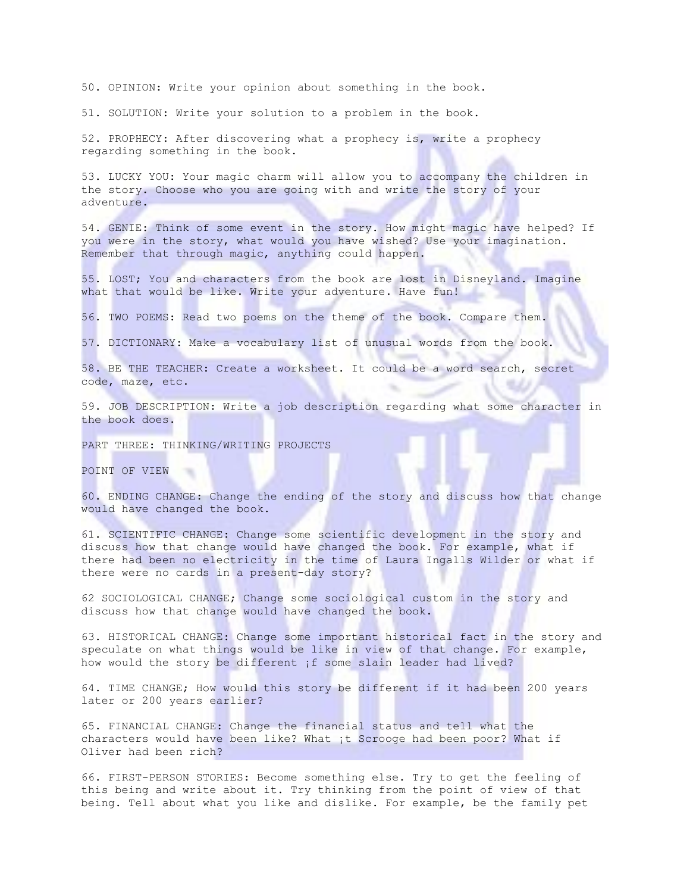50. OPINION: Write your opinion about something in the book.

51. SOLUTION: Write your solution to a problem in the book.

52. PROPHECY: After discovering what a prophecy is, write a prophecy regarding something in the book.

53. LUCKY YOU: Your magic charm will allow you to accompany the children in the story. Choose who you are going with and write the story of your adventure.

54. GENIE: Think of some event in the story. How might magic have helped? If you were in the story, what would you have wished? Use your imagination. Remember that through magic, anything could happen.

55. LOST; You and characters from the book are lost in Disneyland. Imagine what that would be like. Write your adventure. Have fun!

56. TWO POEMS: Read two poems on the theme of the book. Compare them.

57. DICTIONARY: Make a vocabulary list of unusual words from the book.

58. BE THE TEACHER: Create a worksheet. It could be a word search, secret code, maze, etc.

59. JOB DESCRIPTION: Write a job description regarding what some character in the book does.

PART THREE: THINKING/WRITING PROJECTS

POINT OF VIEW

60. ENDING CHANGE: Change the ending of the story and discuss how that change would have changed the book.

61. SCIENTIFIC CHANGE: Change some scientific development in the story and discuss how that change would have changed the book. For example, what if there had been no electricity in the time of Laura Ingalls Wilder or what if there were no cards in a present-day story?

62 SOCIOLOGICAL CHANGE; Change some sociological custom in the story and discuss how that change would have changed the book.

63. HISTORICAL CHANGE: Change some important historical fact in the story and speculate on what things would be like in view of that change. For example, how would the story be different if some slain leader had lived?

64. TIME CHANGE; How would this story be different if it had been 200 years later or 200 years earlier?

65. FINANCIAL CHANGE: Change the financial status and tell what the characters would have been like? What ¡t Scrooge had been poor? What if Oliver had been rich?

66. FIRST-PERSON STORIES: Become something else. Try to get the feeling of this being and write about it. Try thinking from the point of view of that being. Tell about what you like and dislike. For example, be the family pet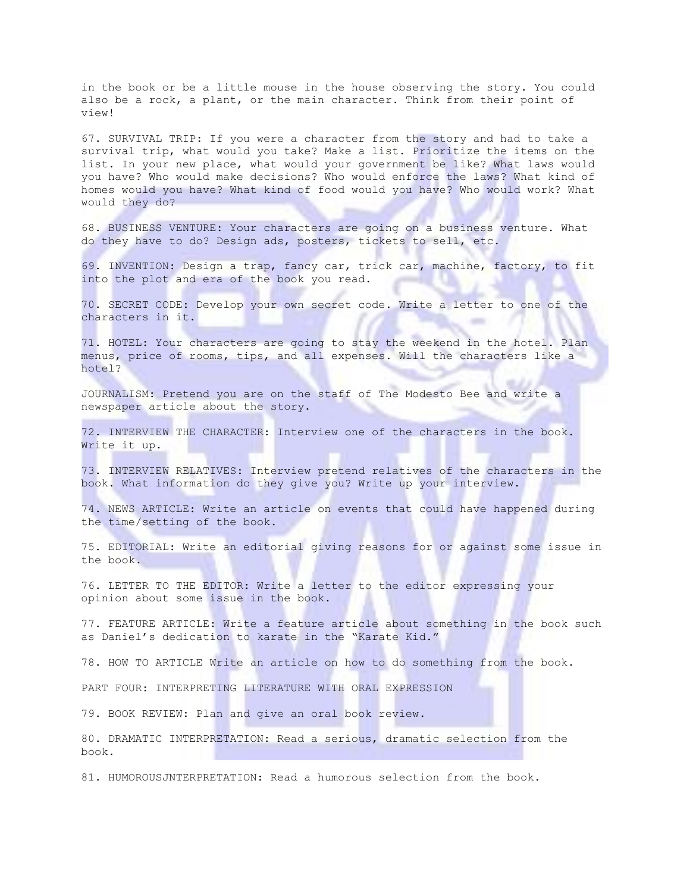in the book or be a little mouse in the house observing the story. You could also be a rock, a plant, or the main character. Think from their point of view!

67. SURVIVAL TRIP: If you were a character from the story and had to take a survival trip, what would you take? Make a list. Prioritize the items on the list. In your new place, what would your government be like? What laws would you have? Who would make decisions? Who would enforce the laws? What kind of homes would you have? What kind of food would you have? Who would work? What would they do?

68. BUSINESS VENTURE: Your characters are going on a business venture. What do they have to do? Design ads, posters, tickets to sell, etc.

69. INVENTION: Design a trap, fancy car, trick car, machine, factory, to fit into the plot and era of the book you read.

70. SECRET CODE: Develop your own secret code. Write a letter to one of the characters in it.

71. HOTEL: Your characters are going to stay the weekend in the hotel. Plan menus, price of rooms, tips, and all expenses. Will the characters like a hotel?

JOURNALISM: Pretend you are on the staff of The Modesto Bee and write a newspaper article about the story.

72. INTERVIEW THE CHARACTER: Interview one of the characters in the book. Write it up.

73. INTERVIEW RELATIVES: Interview pretend relatives of the characters in the book. What information do they give you? Write up your interview.

74. NEWS ARTICLE: Write an article on events that could have happened during the time/setting of the book.

75. EDITORIAL: Write an editorial giving reasons for or against some issue in the book.

76. LETTER TO THE EDITOR: Write a letter to the editor expressing your opinion about some issue in the book.

77. FEATURE ARTICLE: Write a feature article about something in the book such as Daniel's dedication to karate in the "Karate Kid."

78. HOW TO ARTICLE Write an article on how to do something from the book.

PART FOUR: INTERPRETING LITERATURE WITH ORAL EXPRESSION

79. BOOK REVIEW: Plan and give an oral book review.

80. DRAMATIC INTERPRETATION: Read a serious, dramatic selection from the book.

81. HUMOROUSJNTERPRETATION: Read a humorous selection from the book.